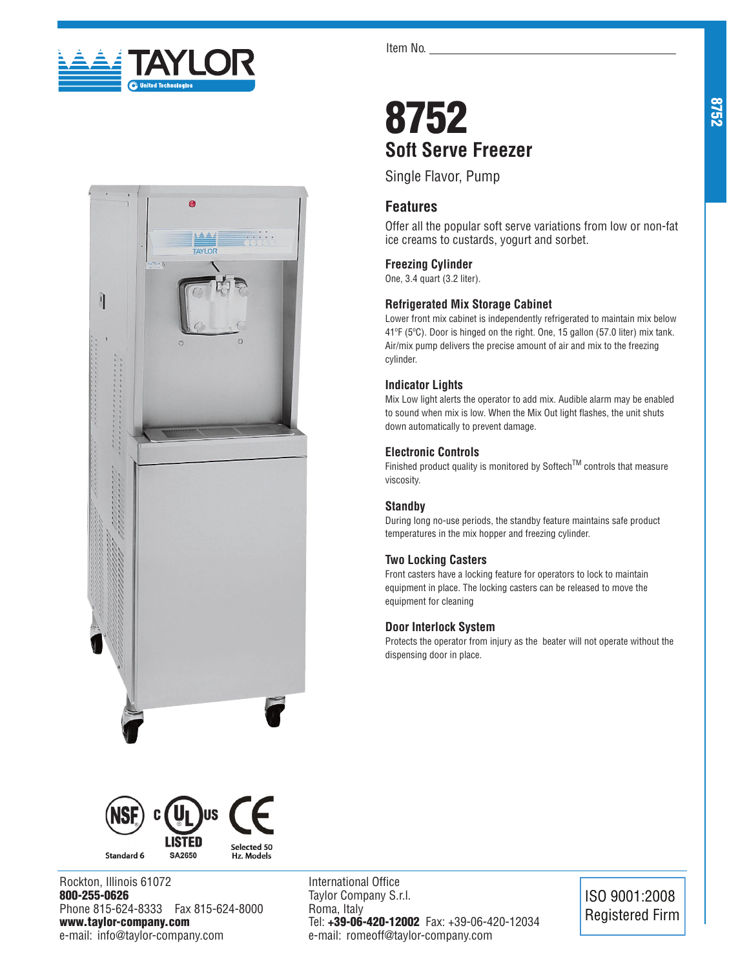





Rockton, Illinois 61072 800-255-0626 Phone 815-624-8333 Fax 815-624-8000 www.taylor-company.com e-mail: info@taylor-company.com

International Office Taylor Company S.r.l. Roma, Italy Tel: +39-06-420-12002 Fax: +39-06-420-12034 e-mail: romeoff@taylor-company.com

ISO 9001:2008 Registered Firm

# 8752 **Soft Serve Freezer**

Single Flavor, Pump

## **Features**

Offer all the popular soft serve variations from low or non-fat ice creams to custards, yogurt and sorbet.

## **Freezing Cylinder**

One, 3.4 quart (3.2 liter).

## **Refrigerated Mix Storage Cabinet**

Lower front mix cabinet is independently refrigerated to maintain mix below 41ºF (5ºC). Door is hinged on the right. One, 15 gallon (57.0 liter) mix tank. Air/mix pump delivers the precise amount of air and mix to the freezing cylinder.

## **Indicator Lights**

Mix Low light alerts the operator to add mix. Audible alarm may be enabled to sound when mix is low. When the Mix Out light flashes, the unit shuts down automatically to prevent damage.

## **Electronic Controls**

Finished product quality is monitored by Softech<sup>TM</sup> controls that measure viscosity.

### **Standby**

During long no-use periods, the standby feature maintains safe product temperatures in the mix hopper and freezing cylinder.

### **Two Locking Casters**

Front casters have a locking feature for operators to lock to maintain equipment in place. The locking casters can be released to move the equipment for cleaning

### **Door Interlock System**

Protects the operator from injury as the beater will not operate without the dispensing door in place.